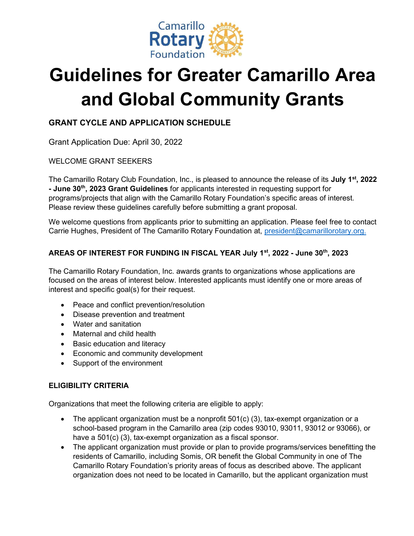

# Guidelines for Greater Camarillo Area and Global Community Grants

## GRANT CYCLE AND APPLICATION SCHEDULE

Grant Application Due: April 30, 2022

## WELCOME GRANT SEEKERS

The Camarillo Rotary Club Foundation, Inc., is pleased to announce the release of its July 1<sup>st</sup>, 2022 - June 30<sup>th</sup>, 2023 Grant Guidelines for applicants interested in requesting support for programs/projects that align with the Camarillo Rotary Foundation's specific areas of interest. Please review these guidelines carefully before submitting a grant proposal.

We welcome questions from applicants prior to submitting an application. Please feel free to contact Carrie Hughes, President of The Camarillo Rotary Foundation at, *president@camarillorotary.org.* 

## AREAS OF INTEREST FOR FUNDING IN FISCAL YEAR July 1st, 2022 - June 30th, 2023

The Camarillo Rotary Foundation, Inc. awards grants to organizations whose applications are focused on the areas of interest below. Interested applicants must identify one or more areas of interest and specific goal(s) for their request.

- Peace and conflict prevention/resolution
- Disease prevention and treatment
- Water and sanitation
- Maternal and child health
- Basic education and literacy
- **Economic and community development**
- Support of the environment

## ELIGIBILITY CRITERIA

Organizations that meet the following criteria are eligible to apply:

- The applicant organization must be a nonprofit 501(c) (3), tax-exempt organization or a school-based program in the Camarillo area (zip codes 93010, 93011, 93012 or 93066), or have a 501(c) (3), tax-exempt organization as a fiscal sponsor.
- The applicant organization must provide or plan to provide programs/services benefitting the residents of Camarillo, including Somis, OR benefit the Global Community in one of The Camarillo Rotary Foundation's priority areas of focus as described above. The applicant organization does not need to be located in Camarillo, but the applicant organization must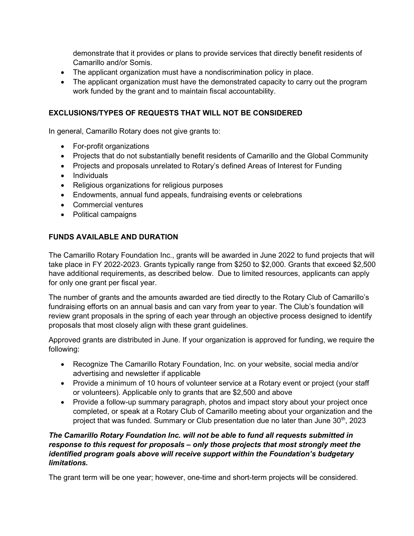demonstrate that it provides or plans to provide services that directly benefit residents of Camarillo and/or Somis.

- The applicant organization must have a nondiscrimination policy in place.
- The applicant organization must have the demonstrated capacity to carry out the program work funded by the grant and to maintain fiscal accountability.

## EXCLUSIONS/TYPES OF REQUESTS THAT WILL NOT BE CONSIDERED

In general, Camarillo Rotary does not give grants to:

- For-profit organizations
- Projects that do not substantially benefit residents of Camarillo and the Global Community
- Projects and proposals unrelated to Rotary's defined Areas of Interest for Funding
- Individuals
- Religious organizations for religious purposes
- Endowments, annual fund appeals, fundraising events or celebrations
- Commercial ventures
- Political campaigns

#### FUNDS AVAILABLE AND DURATION

The Camarillo Rotary Foundation Inc., grants will be awarded in June 2022 to fund projects that will take place in FY 2022-2023. Grants typically range from \$250 to \$2,000. Grants that exceed \$2,500 have additional requirements, as described below. Due to limited resources, applicants can apply for only one grant per fiscal year.

The number of grants and the amounts awarded are tied directly to the Rotary Club of Camarillo's fundraising efforts on an annual basis and can vary from year to year. The Club's foundation will review grant proposals in the spring of each year through an objective process designed to identify proposals that most closely align with these grant guidelines.

Approved grants are distributed in June. If your organization is approved for funding, we require the following:

- Recognize The Camarillo Rotary Foundation, Inc. on your website, social media and/or advertising and newsletter if applicable
- Provide a minimum of 10 hours of volunteer service at a Rotary event or project (your staff or volunteers). Applicable only to grants that are \$2,500 and above
- Provide a follow-up summary paragraph, photos and impact story about your project once completed, or speak at a Rotary Club of Camarillo meeting about your organization and the project that was funded. Summary or Club presentation due no later than June 30<sup>th</sup>, 2023

#### The Camarillo Rotary Foundation Inc. will not be able to fund all requests submitted in response to this request for proposals – only those projects that most strongly meet the identified program goals above will receive support within the Foundation's budgetary limitations.

The grant term will be one year; however, one-time and short-term projects will be considered.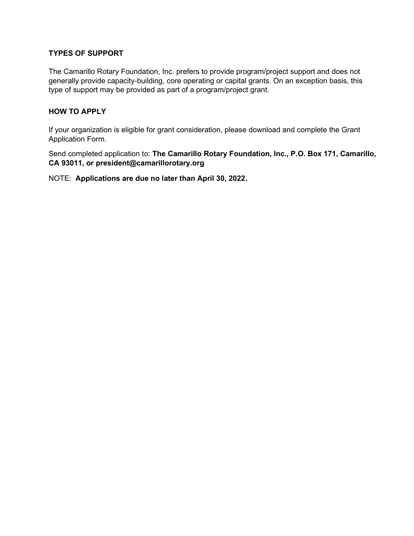## TYPES OF SUPPORT

The Camarillo Rotary Foundation, Inc. prefers to provide program/project support and does not generally provide capacity-building, core operating or capital grants. On an exception basis, this type of support may be provided as part of a program/project grant.

## HOW TO APPLY

If your organization is eligible for grant consideration, please download and complete the Grant Application Form.

Send completed application to: The Camarillo Rotary Foundation, Inc., P.O. Box 171, Camarillo, CA 93011, or president@camarillorotary.org

NOTE: Applications are due no later than April 30, 2022.